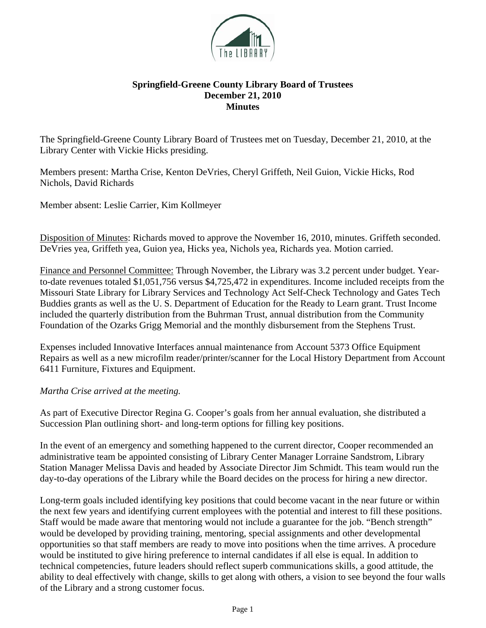

## **Springfield-Greene County Library Board of Trustees December 21, 2010 Minutes**

The Springfield-Greene County Library Board of Trustees met on Tuesday, December 21, 2010, at the Library Center with Vickie Hicks presiding.

Members present: Martha Crise, Kenton DeVries, Cheryl Griffeth, Neil Guion, Vickie Hicks, Rod Nichols, David Richards

Member absent: Leslie Carrier, Kim Kollmeyer

Disposition of Minutes: Richards moved to approve the November 16, 2010, minutes. Griffeth seconded. DeVries yea, Griffeth yea, Guion yea, Hicks yea, Nichols yea, Richards yea. Motion carried.

Finance and Personnel Committee: Through November, the Library was 3.2 percent under budget. Yearto-date revenues totaled \$1,051,756 versus \$4,725,472 in expenditures. Income included receipts from the Missouri State Library for Library Services and Technology Act Self-Check Technology and Gates Tech Buddies grants as well as the U. S. Department of Education for the Ready to Learn grant. Trust Income included the quarterly distribution from the Buhrman Trust, annual distribution from the Community Foundation of the Ozarks Grigg Memorial and the monthly disbursement from the Stephens Trust.

Expenses included Innovative Interfaces annual maintenance from Account 5373 Office Equipment Repairs as well as a new microfilm reader/printer/scanner for the Local History Department from Account 6411 Furniture, Fixtures and Equipment.

*Martha Crise arrived at the meeting.* 

As part of Executive Director Regina G. Cooper's goals from her annual evaluation, she distributed a Succession Plan outlining short- and long-term options for filling key positions.

In the event of an emergency and something happened to the current director, Cooper recommended an administrative team be appointed consisting of Library Center Manager Lorraine Sandstrom, Library Station Manager Melissa Davis and headed by Associate Director Jim Schmidt. This team would run the day-to-day operations of the Library while the Board decides on the process for hiring a new director.

Long-term goals included identifying key positions that could become vacant in the near future or within the next few years and identifying current employees with the potential and interest to fill these positions. Staff would be made aware that mentoring would not include a guarantee for the job. "Bench strength" would be developed by providing training, mentoring, special assignments and other developmental opportunities so that staff members are ready to move into positions when the time arrives. A procedure would be instituted to give hiring preference to internal candidates if all else is equal. In addition to technical competencies, future leaders should reflect superb communications skills, a good attitude, the ability to deal effectively with change, skills to get along with others, a vision to see beyond the four walls of the Library and a strong customer focus.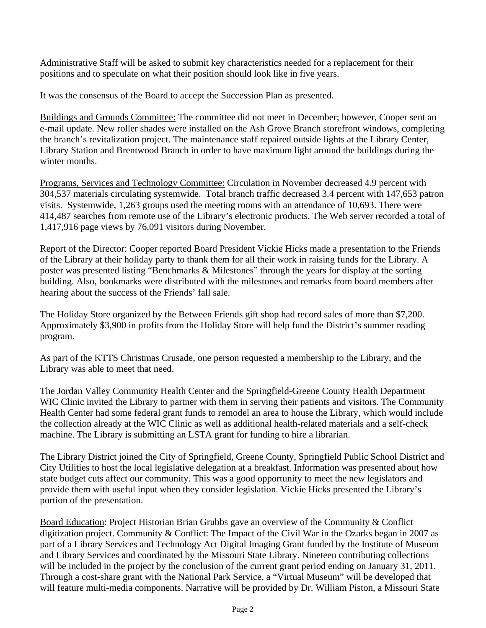Administrative Staff will be asked to submit key characteristics needed for a replacement for their positions and to speculate on what their position should look like in five years.

It was the consensus of the Board to accept the Succession Plan as presented.

Buildings and Grounds Committee: The committee did not meet in December; however, Cooper sent an e-mail update. New roller shades were installed on the Ash Grove Branch storefront windows, completing the branch's revitalization project. The maintenance staff repaired outside lights at the Library Center, Library Station and Brentwood Branch in order to have maximum light around the buildings during the winter months.

Programs, Services and Technology Committee: Circulation in November decreased 4.9 percent with 304,537 materials circulating systemwide. Total branch traffic decreased 3.4 percent with 147,653 patron visits. Systemwide, 1,263 groups used the meeting rooms with an attendance of 10,693. There were 414,487 searches from remote use of the Library's electronic products. The Web server recorded a total of 1,417,916 page views by 76,091 visitors during November.

Report of the Director: Cooper reported Board President Vickie Hicks made a presentation to the Friends of the Library at their holiday party to thank them for all their work in raising funds for the Library. A poster was presented listing "Benchmarks & Milestones" through the years for display at the sorting building. Also, bookmarks were distributed with the milestones and remarks from board members after hearing about the success of the Friends' fall sale.

The Holiday Store organized by the Between Friends gift shop had record sales of more than \$7,200. Approximately \$3,900 in profits from the Holiday Store will help fund the District's summer reading program.

As part of the KTTS Christmas Crusade, one person requested a membership to the Library, and the Library was able to meet that need.

The Jordan Valley Community Health Center and the Springfield-Greene County Health Department WIC Clinic invited the Library to partner with them in serving their patients and visitors. The Community Health Center had some federal grant funds to remodel an area to house the Library, which would include the collection already at the WIC Clinic as well as additional health-related materials and a self-check machine. The Library is submitting an LSTA grant for funding to hire a librarian.

The Library District joined the City of Springfield, Greene County, Springfield Public School District and City Utilities to host the local legislative delegation at a breakfast. Information was presented about how state budget cuts affect our community. This was a good opportunity to meet the new legislators and provide them with useful input when they consider legislation. Vickie Hicks presented the Library's portion of the presentation.

Board Education: Project Historian Brian Grubbs gave an overview of the Community & Conflict digitization project. Community & Conflict: The Impact of the Civil War in the Ozarks began in 2007 as part of a Library Services and Technology Act Digital Imaging Grant funded by the Institute of Museum and Library Services and coordinated by the Missouri State Library. Nineteen contributing collections will be included in the project by the conclusion of the current grant period ending on January 31, 2011. Through a cost-share grant with the National Park Service, a "Virtual Museum" will be developed that will feature multi-media components. Narrative will be provided by Dr. William Piston, a Missouri State